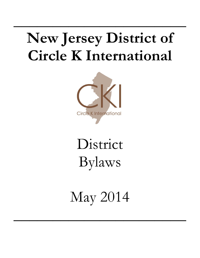## **New Jersey District of Circle K International**

**\_\_\_\_\_\_\_\_\_\_\_\_\_\_\_\_\_\_\_\_\_\_**



# District Bylaws

May 2014

**\_\_\_\_\_\_\_\_\_\_\_\_\_\_\_\_\_\_\_\_\_\_**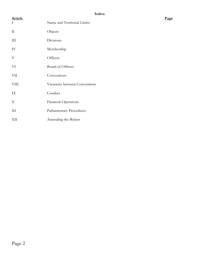| <b>Article</b><br>$\rm I$ | Name and Territorial Limits   | Page |
|---------------------------|-------------------------------|------|
| $\rm II$                  | Objects                       |      |
| $\rm III$                 | Divisions                     |      |
| ${\rm IV}$                | Membership                    |      |
| $\ensuremath{\text{V}}$   | Officers                      |      |
| VI                        | Board of Officers             |      |
| <b>VII</b>                | Conventions                   |      |
| VIII                      | Vacancies between Conventions |      |
| IX                        | Conduct                       |      |
| $\mathbf X$               | Financial Operations          |      |
| XI                        | Parliamentary Procedures      |      |
| XII                       | Amending the Bylaws           |      |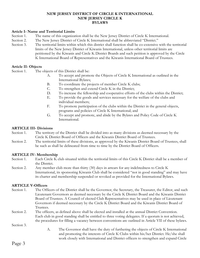#### **NEW JERSEY DISTRICT OF CIRCLE K INTERNATIONAL NEW JERSEY CIRCLE K BYLAWS**

## **Article I- Name and Territorial Limits**

- Section 1. The name of this organization shall be the New Jersey District of Circle K International.
- Section 2. The New Jersey District of Circle K International shall be abbreviated "District."
- Section 3. The territorial limits within which this district shall function shall be co-extensive with the territorial limits of the New Jersey District of Kiwanis International, unless other territorial limits are petitioned by the Kiwanis and Circle K District Boards and such petition is approved by the Circle K International Board of Representatives and the Kiwanis International Board of Trustees.

## **Article II- Objects**

Section 1. The objects of this District shall be:

- A. To accept and promote the Objects of Circle K International as outlined in the International Bylaws;
- B. To coordinate the projects of member Circle K clubs;
- C. To strengthen and extend Circle K in the District;
- D. To increase the fellowship and cooperative efforts of the clubs within the District;
- E. To provide the goods and services necessary for the welfare of the clubs and individual members;
- F. To promote participation of the clubs within the District in the general objects, programs and policies of Circle K International; and
- G. To accept and promote, and abide by the Bylaws and Policy Code of Circle K International.

#### **ARTICLE III- Divisions**

- Section 1. The territory of the District shall be divided into as many divisions as deemed necessary by the Circle K District Board of Officers and the Kiwanis District Board of Trustees.
- Section 2. The territorial limits of these divisions, as approved by the Kiwanis District Board of Trustees, shall be such as shall be delineated from time to time by the District Board of Officers.

## **ARTICLE IV- Membership**

- Section 1. Each Circle K club situated within the territorial limits of this Circle K District shall be a member of the District.
- Section 2. Any member club more than thirty (30) days in arrears for any indebtedness to Circle K International, its sponsoring Kiwanis Club shall be considered "not in good standing" and may have its charter and membership suspended or revoked as provided for the International Bylaws.

## **ARTICLE V-Officers**

- Section 1. The Officers of the District shall be the Governor, the Secretary, the Treasurer, the Editor, and such Lieutenant Governors as deemed necessary by the Circle K District Board and the Kiwanis District Board of Trustees. A Council of elected Club Representatives may be used in place of Lieutenant Governors if deemed necessary by the Circle K District Board and the Kiwanis District Board of Trustees.
- Section 2. The officers, as defined above shall be elected and installed at the annual District Convention. Each club in good standing shall be entitled to three voting delegates. If a quorum is not achieved, the procedures for filling a vacancy between conventions are outlined in Article VII of these bylaws.

Section 3.

A. The Governor shall have the duty of furthering the objects of Circle K International and promoting the interests of Circle K Clubs within his/her District. He/she shall work closely with International and District officers to strengthen and expand Circle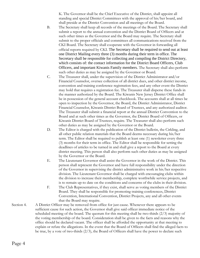K. The Governor shall be the Chief Executive of the District, shall appoint all standing and special District Committees with the approval of his/her board, and shall preside at the District Convention and all meetings of the Board.

- B. The Secretary shall keep all records of the meetings of the Board. The Secretary shall submit a report to the annual convention and the District Board of Officers and at such other times as the Governor and the Board may require. The Secretary shall submit to the proper officials and committees all communications received from the CKI Board. The Secretary shall cooperate with the Governor in forwarding all official reports required by CKI. The Secretary shall be required to send out at least one District Mailing every three (3) months during their term in office. The Secretary shall be responsible for collecting and compiling the District Directory, which consists of: the contact information for the District Board Officers, Club Officers, and important Kiwanis Family members. The Secretary shall also perform such other duties as may be assigned by the Governor or Board.
- C. The Treasurer shall, under the supervision of the District Administrator and/or Financial Counselor, oversee collection of all district dues, and other district income, convention and training conference registration fees, and any other event the District may hold that requires a registration fee. The Treasurer shall disperse these funds in the manner authorized by the Board. The Kiwanis New Jersey District Office shall be in possession of the general account checkbook. The accounts shall at all times be open to inspection by the Governor, the Board, the District Administrator, District Financial Counselor, Kiwanis District Board of Trustees, and any authorized auditor. The Treasurer shall submit a financial report at the annual District Convention to the Board and at such other times as the Governor, the District Board of Officers, or Kiwanis District Board of Trustees, require. The Treasurer shall also perform such other duties as may be assigned by the Governor or the Board.
- D. The Editor is charged with the publication of the District bulletin, the Cirkling, and all other public relation materials that the Board deems necessary during his/her term. The Editor shall be required to publish at least one (1) newsletter every three (3) months for their term in office. The Editor shall be responsible for setting the deadlines of articles to be turned in and shall give a report to the Board at every district meeting. This person shall also perform such other duties as may be assigned by the Governor or the Board.
- E. The Lieutenant Governor shall assist the Governor in the work of the District. This person shall represent the Governor and have full responsibility under the direction of the Governor in supervising the district administrative work in his/her respective division. The Lieutenant Governor shall be charged with encouraging clubs within the division to increase their membership, complete worthwhile service projects, and is to remain up-to date on the conditions and concerns of the clubs in their division.
- F. The Club Representatives, if they exist, shall serve as voting members of the District Board. They shall be responsible for promoting training conferences, District Convention, International Convention, District Projects, any and all other events that the Board may require.
- Section 4. A District Officer may be removed from office for just cause. Whenever there appears to be sufficient cause for such action, the Governor shall give said officer immediate notice of the scheduled meeting of the board. The quorum for this meeting shall be two-thirds (2/3) majority of the voting membership of the board. Consideration shall be given to the facts and reasons why the office should be declared vacant. The officer shall be afforded the opportunity at that meeting to explain or refute the allegations. In the event that the Board of Officers shall find the alleged facts to be true, by a vote of two-thirds  $(2/3)$ , the Board of Officers shall have the power to declare such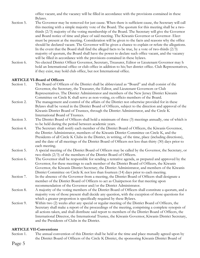office vacant, and the vacancy will be filled in accordance with the provisions contained in these Bylaws.

- Section 5. The Governor may be removed for just cause. When there is sufficient cause, the Secretary will call this meeting with a simple majority vote of the Board. The quorum for this meeting shall be a twothirds (2/3) majority of the voting membership of the Board. The Secretary will give the Governor and Board notice of time and place of said meeting. The Kiwanis Governor or Governor- Elect must be present at the meeting. Consideration will be given to the facts and reasons why the office should be declared vacant. The Governor will be given a chance to explain or refute the allegations. In the event that the Board shall find the alleged facts to be true, by a vote of two-thirds  $(2/3)$ majority of quorum, the Board shall have the power to declare such office vacant, and the vacancy will be filled in accordance with the provisions contained in these bylaws.
- Section 6. No elected District Officer Governor, Secretary, Treasurer, Editor or Lieutenant Governor may h hold an International office or club office in addition to his/her district office. Club Representatives, if they exist, may hold club office, but not International office.

## **ARTICLE VI-Board of Officers**

- Section 1. The Board of Officers of the District shall be abbreviated as "Board" and shall consist of the Governor, the Secretary, the Treasurer, the Editor, and Lieutenant Governors or Club Representatives. The District Administrator and members of the New Jersey District Kiwanis Committee on Circle K shall serve as non-voting, ex-officio members of the Board.
- Section 2. The management and control of the affairs of the District not otherwise provided for in these Bylaws shall be vested in the District Board of Officers, subject to the direction and approval of the Kiwanis District Board of Trustees, through the District Administrator, and the Circle K International Board of Trustees.
- Section 3. The District Board of Officers shall hold a minimum of three (3) meetings annually, one of which is to be held during the period between academic years.
- Section 4. The Secretary shall notify each member of the District Board of Officers, the Kiwanis Governor, the District Administrator, members of the Kiwanis District Committee on Circle K, and the Presidents of all Circle K Clubs in the District, in writing, of the time, place (including directions), and the date of all meetings of the District Board of Officers not less than thirty (30) days prior to each meeting.
- Section 5. A special meeting of the District Board of Officers may be called by the Governor, the Secretary, or two-thirds (2/3) of the members of the District Board of Officers.
- Section 6. The Governor shall be responsible for sending a tentative agenda, as prepared and approved by the Governor, for these meetings to each member of the District Board of Officers, the Kiwanis Governor, the Kiwanis District Secretary, the District Administrator, and members of the Kiwanis District Committee on Circle K not less than fourteen (14) days prior to each meeting.
- Section 7. In the absence of the Governor from a meeting, the District Board of Officers shall designate a member of the District Board of Officers to act as Chairperson for that meeting upon recommendation of the Governor and/or the District Administrator.
- Section 8. A majority of the voting members of the District Board of Officers shall constitute a quorum, and a majority vote of those present shall decide any question, with the exception of those questions for which a greater proportion is specifically required by these Bylaws.
- Section 9. Within two (2) weeks after any special or regular meeting of the District Board of Officers, the Secretary shall make a report of the proceedings of the meeting, comprising a complete synopsis of all actions taken, and shall distribute said report to members of the District Board of Officers, the International Director, the International Trustee, the Kiwanis Governor, Kiwanis District Secretary, and the Presidents of Clubs in the District.

## **ARTICLE VII-Conventions**

Section 1. The annual convention of this District shall be held at the time and place mutually agreed upon by the District Board of Officers of the Circle K District, the sponsoring Kiwanis District Board of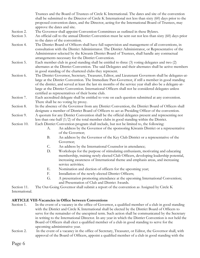Trustees and the Board of Trustees of Circle K International. The dates and site of the convention shall be submitted to the Director of Circle K International not less than sixty (60) days prior to the proposed convention dates, and the Director, acting for the International Board of Trustees, may approve the dates and site.

- Section 2. The Governor shall appoint Convention Committees as outlined in these Bylaws.
- Section 3. An official call to the annual District Convention must be sent out not less than sixty (60) days prior to the dates of the convention.
- Section 4. The District Board of Officers shall have full supervision and management of all conventions, in consultation with the District Administrator. The District Administrator, or Representative of the Administrator selected by the Kiwanis District Board of Trustees, shall handle any contractual arrangements necessary for the District Convention.
- Section 5. Each member club in good standing shall be entitled to three (3) voting delegates and two (2) alternates at the District Convention. The said Delegates and their alternates shall be active members in good standing of the chartered clubs they represent.
- Section 6. The District Governor, Secretary, Treasurer, Editor, and Lieutenant Governors shall be delegates-atlarge at the District Convention. The Immediate Past-Governor, if still a member in good standing of the district, and served at least the last six months of the service year shall also be a delegate-atlarge at the District Convention. International Officers shall not be considered delegates unless certified as representatives of their home club.
- Section 7. Each accredited delegate shall be entitled to vote on each question submitted at any convention. There shall be no voting by proxy.
- Section 8. In the absence of the Governor from any District Convention, the District Board of Officers shall designate a member of District Board of Officers to act as Presiding Officer of the convention.
- Section 9. A quorum for any District Convention shall be the official delegates present and representing not less than one-half (1/2) of the total member clubs in good standing within the District.
- Section 10. Each District Convention program shall include, but not be limited to, the following:
	- A. An address by the Governor of the sponsoring Kiwanis District or a representative of the Governor;
	- B. An address by the Governor of the Key Club District or a representative of the Governor;
	- C. An address by the International Counselor in attendance;
	- D. Workshops for the purpose of stimulating enthusiasm, motivating and educating membership, training newly elected Club Officers, developing leadership potential, increasing awareness of International theme and emphasis areas, and increasing service activities;
	- E. Nomination and election of officers for the upcoming year;
	- F. Installation of the newly-elected District Officers;
	- G. A presentation promoting attendance at the upcoming International Convention; and Presentation of Club and District Awards.

Section 11. The Out-Going Governor shall submit a report of the convention as Assigned by Circle K International.

## **ARTICLE VIII-Vacancies in Office between Conventions**

- Section 1. In the event of a vacancy in the office of Governor, a qualified member of a club in good standing with the District and Circle K International shall be elected by the District Board of Officers to serve for the remainder of the unexpired term. Such action shall be communicated by the Secretary in writing to the International Director. In any year in which the District Convention is not held the Board of Officers shall elect a qualified member of a club in good standing to serve for the upcoming administrative year.
- Section 2. In the event of a vacancy in the office of Secretary, Treasurer, or Editor, the Governor shall, with approval of the Board of Officers, appoint a qualified member of a club in good standing with the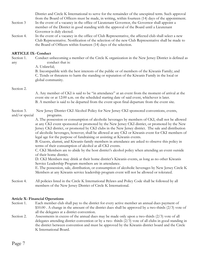District and Circle K International to serve for the remainder of the unexpired term. Such approval from the Board of Officers must be made, in writing, within fourteen (14) days of the appointment.

- Section 3 In the event of a vacancy in the office of Lieutenant Governor, the Governor shall appoint a member of the District in good standing with the approval of the Board until a Lieutenant Governor is duly elected.
- Section 4. In the event of a vacancy in the office of Club Representative, the affected club shall select a new Club Representative. Notification of the selection of the new Club Representative shall be made to the Board of Officers within fourteen (14) days of the selection.

## **ARTICLE IX- Conduct**

Section 1. Conduct unbecoming a member of the Circle K organization in the New Jersey District is defined as any conduct that is:

A. Unlawful;

B. Incompatible with the best interests of the public or of members of the Kiwanis Family; and C. Tends or threatens to harm the standing or reputation of the Kiwanis Family in the local or global community.

#### Section 2.

A. Any member of CKI is said to be "in attendance" at an event from the moment of arrival at the event site or at 12:00 a.m. on the scheduled starting date of said event, whichever is later. B. A member is said to be departed from the event upon final departure from the event site.

Section 3. New Jersey District CKI Alcohol Policy for New Jersey CKI sponsored conventions, events, and/or special programs.

> A. The possession or consumption of alcoholic beverages by members of CKI, shall not be allowed at any CKI event sponsored or promoted by the New Jersey CKI district, or promoted by the New Jersey CKI district, or promoted by CKI clubs in the New Jersey district. The sale and distribution of alcoholic beverages, however, shall be allowed at any CKI or Kiwanis event for CKI members of legal age for the purpose of fundraising or assisting at Kiwanis events.

B. Guests, alumni, and Kiwanis-family members in attendance are asked to observe this policy in terms of their consumption of alcohol at all CKI events.

C. CKI Members are to abide by the host district's alcohol policy when attending an event outside of their home district.

D. CKI Members may drink at their home district's Kiwanis events, as long as no other Kiwanis Service Leadership Program members are in attendance.

E. The possession, sale, distribution, or consumption of alcoholic beverages by New Jersey Circle K Members at any Kiwanis service leadership program event will not be allowed or tolerated.

Section 4. All policies listed in the Circle K International Bylaws and Policy Code shall be followed by all members of the New Jersey District of Circle K International.

## **Article X- Financial Operations**

- Section 1. Each member club shall pay to the district for every active member an annual dues payment of  $$10.00$ . A change in the amount of the district dues shall be approved by a two-thirds ( $2/3$ ) vote of all the delegates at a district convention.
- Section 2. Assessments in excess of the annual dues may be made only upon a two-thirds (2/3) vote of all delegates attending district convention or by a two- thirds (2/3) vote of all clubs in good standing in the district between convention and must be approved by the Kiwanis district board and the Circle K International Board.